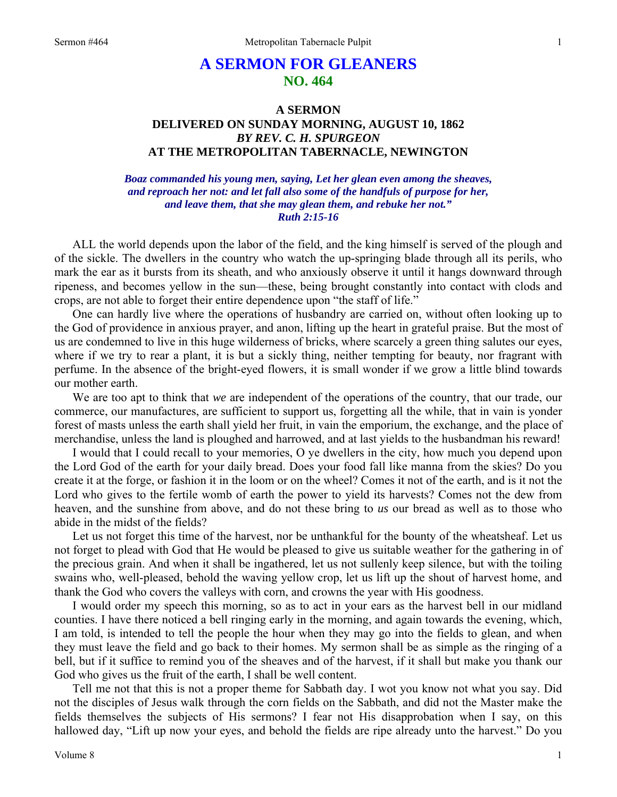# **A SERMON FOR GLEANERS NO. 464**

## **A SERMON DELIVERED ON SUNDAY MORNING, AUGUST 10, 1862**  *BY REV. C. H. SPURGEON*  **AT THE METROPOLITAN TABERNACLE, NEWINGTON**

*Boaz commanded his young men, saying, Let her glean even among the sheaves, and reproach her not: and let fall also some of the handfuls of purpose for her, and leave them, that she may glean them, and rebuke her not." Ruth 2:15-16* 

ALL the world depends upon the labor of the field, and the king himself is served of the plough and of the sickle. The dwellers in the country who watch the up-springing blade through all its perils, who mark the ear as it bursts from its sheath, and who anxiously observe it until it hangs downward through ripeness, and becomes yellow in the sun—these, being brought constantly into contact with clods and crops, are not able to forget their entire dependence upon "the staff of life."

One can hardly live where the operations of husbandry are carried on, without often looking up to the God of providence in anxious prayer, and anon, lifting up the heart in grateful praise. But the most of us are condemned to live in this huge wilderness of bricks, where scarcely a green thing salutes our eyes, where if we try to rear a plant, it is but a sickly thing, neither tempting for beauty, nor fragrant with perfume. In the absence of the bright-eyed flowers, it is small wonder if we grow a little blind towards our mother earth.

We are too apt to think that *we* are independent of the operations of the country, that our trade, our commerce, our manufactures, are sufficient to support us, forgetting all the while, that in vain is yonder forest of masts unless the earth shall yield her fruit, in vain the emporium, the exchange, and the place of merchandise, unless the land is ploughed and harrowed, and at last yields to the husbandman his reward!

I would that I could recall to your memories, O ye dwellers in the city, how much you depend upon the Lord God of the earth for your daily bread. Does your food fall like manna from the skies? Do you create it at the forge, or fashion it in the loom or on the wheel? Comes it not of the earth, and is it not the Lord who gives to the fertile womb of earth the power to yield its harvests? Comes not the dew from heaven, and the sunshine from above, and do not these bring to *us* our bread as well as to those who abide in the midst of the fields?

Let us not forget this time of the harvest, nor be unthankful for the bounty of the wheatsheaf. Let us not forget to plead with God that He would be pleased to give us suitable weather for the gathering in of the precious grain. And when it shall be ingathered, let us not sullenly keep silence, but with the toiling swains who, well-pleased, behold the waving yellow crop, let us lift up the shout of harvest home, and thank the God who covers the valleys with corn, and crowns the year with His goodness.

I would order my speech this morning, so as to act in your ears as the harvest bell in our midland counties. I have there noticed a bell ringing early in the morning, and again towards the evening, which, I am told, is intended to tell the people the hour when they may go into the fields to glean, and when they must leave the field and go back to their homes. My sermon shall be as simple as the ringing of a bell, but if it suffice to remind you of the sheaves and of the harvest, if it shall but make you thank our God who gives us the fruit of the earth, I shall be well content.

Tell me not that this is not a proper theme for Sabbath day. I wot you know not what you say. Did not the disciples of Jesus walk through the corn fields on the Sabbath, and did not the Master make the fields themselves the subjects of His sermons? I fear not His disapprobation when I say, on this hallowed day, "Lift up now your eyes, and behold the fields are ripe already unto the harvest." Do you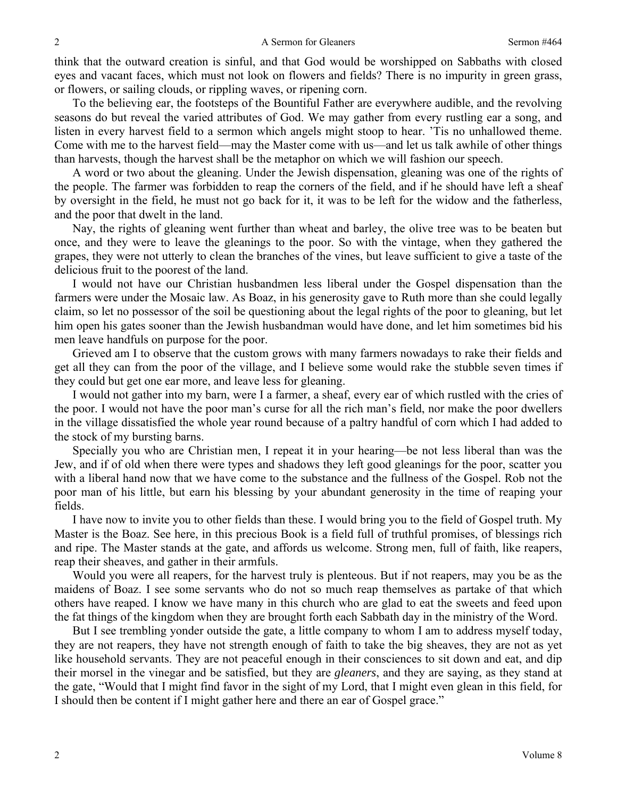think that the outward creation is sinful, and that God would be worshipped on Sabbaths with closed eyes and vacant faces, which must not look on flowers and fields? There is no impurity in green grass, or flowers, or sailing clouds, or rippling waves, or ripening corn.

To the believing ear, the footsteps of the Bountiful Father are everywhere audible, and the revolving seasons do but reveal the varied attributes of God. We may gather from every rustling ear a song, and listen in every harvest field to a sermon which angels might stoop to hear. 'Tis no unhallowed theme. Come with me to the harvest field—may the Master come with us—and let us talk awhile of other things than harvests, though the harvest shall be the metaphor on which we will fashion our speech.

A word or two about the gleaning. Under the Jewish dispensation, gleaning was one of the rights of the people. The farmer was forbidden to reap the corners of the field, and if he should have left a sheaf by oversight in the field, he must not go back for it, it was to be left for the widow and the fatherless, and the poor that dwelt in the land.

Nay, the rights of gleaning went further than wheat and barley, the olive tree was to be beaten but once, and they were to leave the gleanings to the poor. So with the vintage, when they gathered the grapes, they were not utterly to clean the branches of the vines, but leave sufficient to give a taste of the delicious fruit to the poorest of the land.

I would not have our Christian husbandmen less liberal under the Gospel dispensation than the farmers were under the Mosaic law. As Boaz, in his generosity gave to Ruth more than she could legally claim, so let no possessor of the soil be questioning about the legal rights of the poor to gleaning, but let him open his gates sooner than the Jewish husbandman would have done, and let him sometimes bid his men leave handfuls on purpose for the poor.

Grieved am I to observe that the custom grows with many farmers nowadays to rake their fields and get all they can from the poor of the village, and I believe some would rake the stubble seven times if they could but get one ear more, and leave less for gleaning.

I would not gather into my barn, were I a farmer, a sheaf, every ear of which rustled with the cries of the poor. I would not have the poor man's curse for all the rich man's field, nor make the poor dwellers in the village dissatisfied the whole year round because of a paltry handful of corn which I had added to the stock of my bursting barns.

Specially you who are Christian men, I repeat it in your hearing—be not less liberal than was the Jew, and if of old when there were types and shadows they left good gleanings for the poor, scatter you with a liberal hand now that we have come to the substance and the fullness of the Gospel. Rob not the poor man of his little, but earn his blessing by your abundant generosity in the time of reaping your fields.

I have now to invite you to other fields than these. I would bring you to the field of Gospel truth. My Master is the Boaz. See here, in this precious Book is a field full of truthful promises, of blessings rich and ripe. The Master stands at the gate, and affords us welcome. Strong men, full of faith, like reapers, reap their sheaves, and gather in their armfuls.

Would you were all reapers, for the harvest truly is plenteous. But if not reapers, may you be as the maidens of Boaz. I see some servants who do not so much reap themselves as partake of that which others have reaped. I know we have many in this church who are glad to eat the sweets and feed upon the fat things of the kingdom when they are brought forth each Sabbath day in the ministry of the Word.

But I see trembling yonder outside the gate, a little company to whom I am to address myself today, they are not reapers, they have not strength enough of faith to take the big sheaves, they are not as yet like household servants. They are not peaceful enough in their consciences to sit down and eat, and dip their morsel in the vinegar and be satisfied, but they are *gleaners*, and they are saying, as they stand at the gate, "Would that I might find favor in the sight of my Lord, that I might even glean in this field, for I should then be content if I might gather here and there an ear of Gospel grace."

2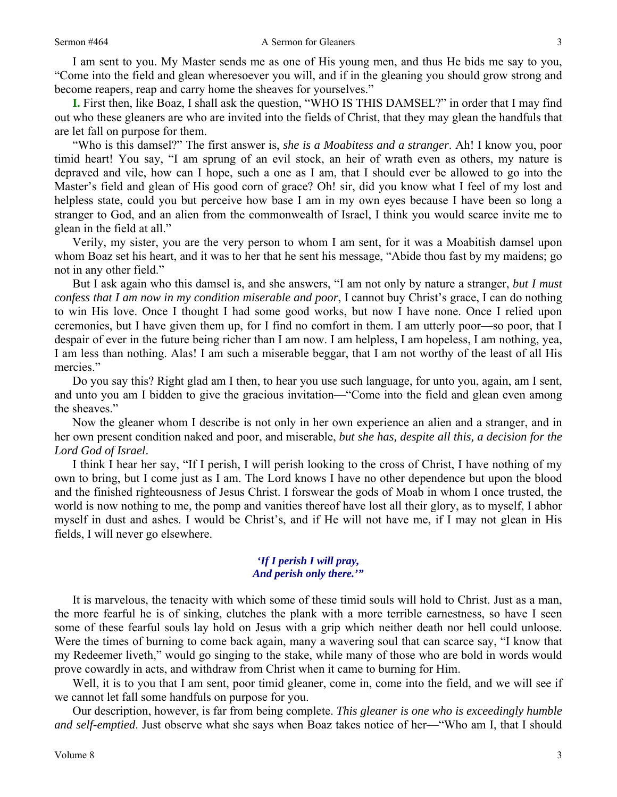I am sent to you. My Master sends me as one of His young men, and thus He bids me say to you, "Come into the field and glean wheresoever you will, and if in the gleaning you should grow strong and become reapers, reap and carry home the sheaves for yourselves."

**I.** First then, like Boaz, I shall ask the question, "WHO IS THIS DAMSEL?" in order that I may find out who these gleaners are who are invited into the fields of Christ, that they may glean the handfuls that are let fall on purpose for them.

"Who is this damsel?" The first answer is, *she is a Moabitess and a stranger*. Ah! I know you, poor timid heart! You say, "I am sprung of an evil stock, an heir of wrath even as others, my nature is depraved and vile, how can I hope, such a one as I am, that I should ever be allowed to go into the Master's field and glean of His good corn of grace? Oh! sir, did you know what I feel of my lost and helpless state, could you but perceive how base I am in my own eyes because I have been so long a stranger to God, and an alien from the commonwealth of Israel, I think you would scarce invite me to glean in the field at all."

Verily, my sister, you are the very person to whom I am sent, for it was a Moabitish damsel upon whom Boaz set his heart, and it was to her that he sent his message, "Abide thou fast by my maidens; go not in any other field."

But I ask again who this damsel is, and she answers, "I am not only by nature a stranger, *but I must confess that I am now in my condition miserable and poor*, I cannot buy Christ's grace, I can do nothing to win His love. Once I thought I had some good works, but now I have none. Once I relied upon ceremonies, but I have given them up, for I find no comfort in them. I am utterly poor—so poor, that I despair of ever in the future being richer than I am now. I am helpless, I am hopeless, I am nothing, yea, I am less than nothing. Alas! I am such a miserable beggar, that I am not worthy of the least of all His mercies."

Do you say this? Right glad am I then, to hear you use such language, for unto you, again, am I sent, and unto you am I bidden to give the gracious invitation—"Come into the field and glean even among the sheaves."

Now the gleaner whom I describe is not only in her own experience an alien and a stranger, and in her own present condition naked and poor, and miserable, *but she has, despite all this, a decision for the Lord God of Israel*.

I think I hear her say, "If I perish, I will perish looking to the cross of Christ, I have nothing of my own to bring, but I come just as I am. The Lord knows I have no other dependence but upon the blood and the finished righteousness of Jesus Christ. I forswear the gods of Moab in whom I once trusted, the world is now nothing to me, the pomp and vanities thereof have lost all their glory, as to myself, I abhor myself in dust and ashes. I would be Christ's, and if He will not have me, if I may not glean in His fields, I will never go elsewhere.

### *'If I perish I will pray, And perish only there.'"*

It is marvelous, the tenacity with which some of these timid souls will hold to Christ. Just as a man, the more fearful he is of sinking, clutches the plank with a more terrible earnestness, so have I seen some of these fearful souls lay hold on Jesus with a grip which neither death nor hell could unloose. Were the times of burning to come back again, many a wavering soul that can scarce say, "I know that my Redeemer liveth," would go singing to the stake, while many of those who are bold in words would prove cowardly in acts, and withdraw from Christ when it came to burning for Him.

Well, it is to you that I am sent, poor timid gleaner, come in, come into the field, and we will see if we cannot let fall some handfuls on purpose for you.

Our description, however, is far from being complete. *This gleaner is one who is exceedingly humble and self-emptied*. Just observe what she says when Boaz takes notice of her—"Who am I, that I should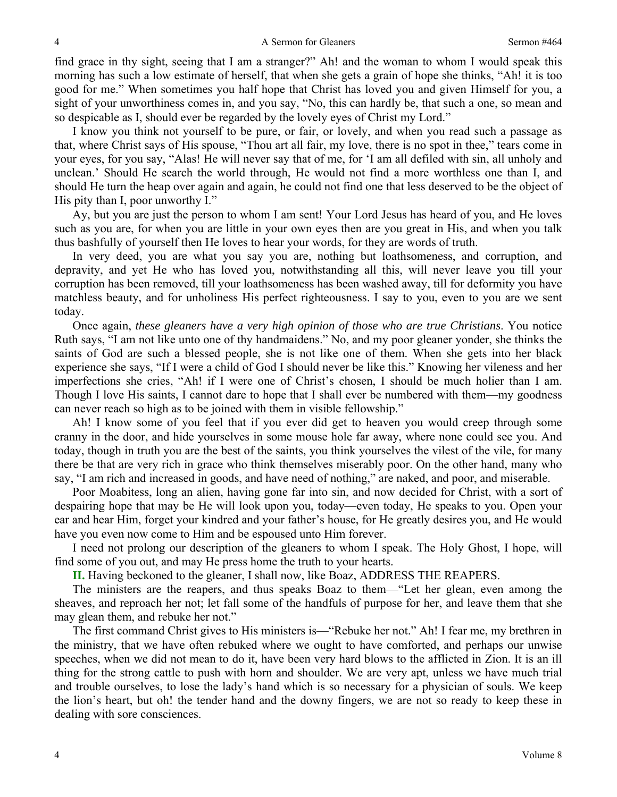find grace in thy sight, seeing that I am a stranger?" Ah! and the woman to whom I would speak this morning has such a low estimate of herself, that when she gets a grain of hope she thinks, "Ah! it is too good for me." When sometimes you half hope that Christ has loved you and given Himself for you, a sight of your unworthiness comes in, and you say, "No, this can hardly be, that such a one, so mean and so despicable as I, should ever be regarded by the lovely eyes of Christ my Lord."

I know you think not yourself to be pure, or fair, or lovely, and when you read such a passage as that, where Christ says of His spouse, "Thou art all fair, my love, there is no spot in thee," tears come in your eyes, for you say, "Alas! He will never say that of me, for 'I am all defiled with sin, all unholy and unclean.' Should He search the world through, He would not find a more worthless one than I, and should He turn the heap over again and again, he could not find one that less deserved to be the object of His pity than I, poor unworthy I."

Ay, but you are just the person to whom I am sent! Your Lord Jesus has heard of you, and He loves such as you are, for when you are little in your own eyes then are you great in His, and when you talk thus bashfully of yourself then He loves to hear your words, for they are words of truth.

In very deed, you are what you say you are, nothing but loathsomeness, and corruption, and depravity, and yet He who has loved you, notwithstanding all this, will never leave you till your corruption has been removed, till your loathsomeness has been washed away, till for deformity you have matchless beauty, and for unholiness His perfect righteousness. I say to you, even to you are we sent today.

Once again, *these gleaners have a very high opinion of those who are true Christians*. You notice Ruth says, "I am not like unto one of thy handmaidens." No, and my poor gleaner yonder, she thinks the saints of God are such a blessed people, she is not like one of them. When she gets into her black experience she says, "If I were a child of God I should never be like this." Knowing her vileness and her imperfections she cries, "Ah! if I were one of Christ's chosen, I should be much holier than I am. Though I love His saints, I cannot dare to hope that I shall ever be numbered with them—my goodness can never reach so high as to be joined with them in visible fellowship."

Ah! I know some of you feel that if you ever did get to heaven you would creep through some cranny in the door, and hide yourselves in some mouse hole far away, where none could see you. And today, though in truth you are the best of the saints, you think yourselves the vilest of the vile, for many there be that are very rich in grace who think themselves miserably poor. On the other hand, many who say, "I am rich and increased in goods, and have need of nothing," are naked, and poor, and miserable.

Poor Moabitess, long an alien, having gone far into sin, and now decided for Christ, with a sort of despairing hope that may be He will look upon you, today—even today, He speaks to you. Open your ear and hear Him, forget your kindred and your father's house, for He greatly desires you, and He would have you even now come to Him and be espoused unto Him forever.

I need not prolong our description of the gleaners to whom I speak. The Holy Ghost, I hope, will find some of you out, and may He press home the truth to your hearts.

**II.** Having beckoned to the gleaner, I shall now, like Boaz, ADDRESS THE REAPERS.

The ministers are the reapers, and thus speaks Boaz to them—"Let her glean, even among the sheaves, and reproach her not; let fall some of the handfuls of purpose for her, and leave them that she may glean them, and rebuke her not."

The first command Christ gives to His ministers is—"Rebuke her not." Ah! I fear me, my brethren in the ministry, that we have often rebuked where we ought to have comforted, and perhaps our unwise speeches, when we did not mean to do it, have been very hard blows to the afflicted in Zion. It is an ill thing for the strong cattle to push with horn and shoulder. We are very apt, unless we have much trial and trouble ourselves, to lose the lady's hand which is so necessary for a physician of souls. We keep the lion's heart, but oh! the tender hand and the downy fingers, we are not so ready to keep these in dealing with sore consciences.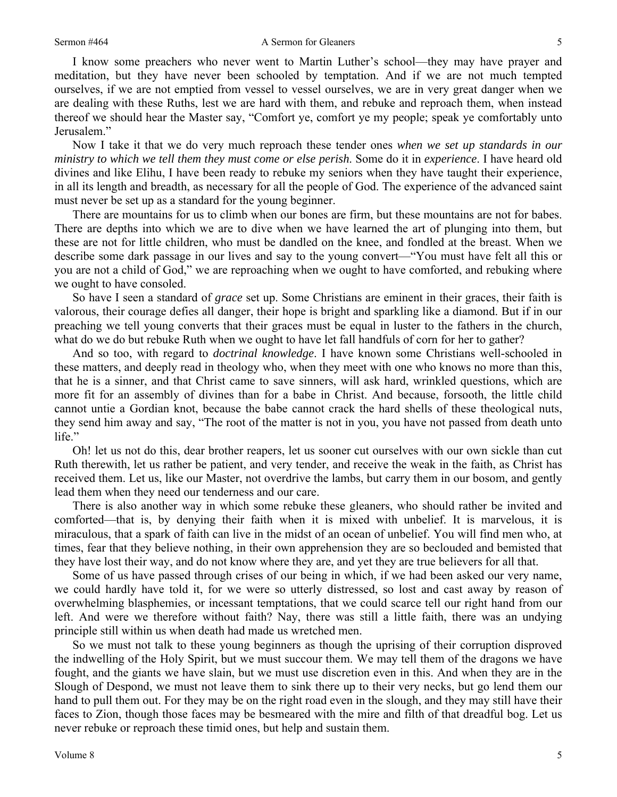#### Sermon #464 A Sermon for Gleaners

I know some preachers who never went to Martin Luther's school—they may have prayer and meditation, but they have never been schooled by temptation. And if we are not much tempted ourselves, if we are not emptied from vessel to vessel ourselves, we are in very great danger when we are dealing with these Ruths, lest we are hard with them, and rebuke and reproach them, when instead thereof we should hear the Master say, "Comfort ye, comfort ye my people; speak ye comfortably unto Jerusalem."

Now I take it that we do very much reproach these tender ones *when we set up standards in our ministry to which we tell them they must come or else perish*. Some do it in *experience*. I have heard old divines and like Elihu, I have been ready to rebuke my seniors when they have taught their experience, in all its length and breadth, as necessary for all the people of God. The experience of the advanced saint must never be set up as a standard for the young beginner.

There are mountains for us to climb when our bones are firm, but these mountains are not for babes. There are depths into which we are to dive when we have learned the art of plunging into them, but these are not for little children, who must be dandled on the knee, and fondled at the breast. When we describe some dark passage in our lives and say to the young convert—"You must have felt all this or you are not a child of God," we are reproaching when we ought to have comforted, and rebuking where we ought to have consoled.

So have I seen a standard of *grace* set up. Some Christians are eminent in their graces, their faith is valorous, their courage defies all danger, their hope is bright and sparkling like a diamond. But if in our preaching we tell young converts that their graces must be equal in luster to the fathers in the church, what do we do but rebuke Ruth when we ought to have let fall handfuls of corn for her to gather?

And so too, with regard to *doctrinal knowledge*. I have known some Christians well-schooled in these matters, and deeply read in theology who, when they meet with one who knows no more than this, that he is a sinner, and that Christ came to save sinners, will ask hard, wrinkled questions, which are more fit for an assembly of divines than for a babe in Christ. And because, forsooth, the little child cannot untie a Gordian knot, because the babe cannot crack the hard shells of these theological nuts, they send him away and say, "The root of the matter is not in you, you have not passed from death unto life."

Oh! let us not do this, dear brother reapers, let us sooner cut ourselves with our own sickle than cut Ruth therewith, let us rather be patient, and very tender, and receive the weak in the faith, as Christ has received them. Let us, like our Master, not overdrive the lambs, but carry them in our bosom, and gently lead them when they need our tenderness and our care.

There is also another way in which some rebuke these gleaners, who should rather be invited and comforted—that is, by denying their faith when it is mixed with unbelief. It is marvelous, it is miraculous, that a spark of faith can live in the midst of an ocean of unbelief. You will find men who, at times, fear that they believe nothing, in their own apprehension they are so beclouded and bemisted that they have lost their way, and do not know where they are, and yet they are true believers for all that.

Some of us have passed through crises of our being in which, if we had been asked our very name, we could hardly have told it, for we were so utterly distressed, so lost and cast away by reason of overwhelming blasphemies, or incessant temptations, that we could scarce tell our right hand from our left. And were we therefore without faith? Nay, there was still a little faith, there was an undying principle still within us when death had made us wretched men.

So we must not talk to these young beginners as though the uprising of their corruption disproved the indwelling of the Holy Spirit, but we must succour them. We may tell them of the dragons we have fought, and the giants we have slain, but we must use discretion even in this. And when they are in the Slough of Despond, we must not leave them to sink there up to their very necks, but go lend them our hand to pull them out. For they may be on the right road even in the slough, and they may still have their faces to Zion, though those faces may be besmeared with the mire and filth of that dreadful bog. Let us never rebuke or reproach these timid ones, but help and sustain them.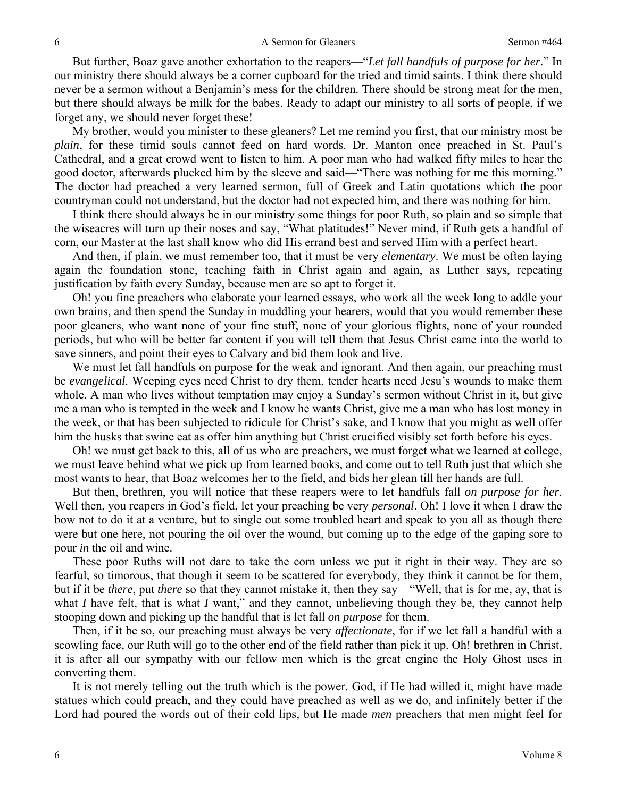But further, Boaz gave another exhortation to the reapers—"*Let fall handfuls of purpose for her*." In our ministry there should always be a corner cupboard for the tried and timid saints. I think there should never be a sermon without a Benjamin's mess for the children. There should be strong meat for the men, but there should always be milk for the babes. Ready to adapt our ministry to all sorts of people, if we forget any, we should never forget these!

My brother, would you minister to these gleaners? Let me remind you first, that our ministry most be *plain*, for these timid souls cannot feed on hard words. Dr. Manton once preached in St. Paul's Cathedral, and a great crowd went to listen to him. A poor man who had walked fifty miles to hear the good doctor, afterwards plucked him by the sleeve and said—"There was nothing for me this morning." The doctor had preached a very learned sermon, full of Greek and Latin quotations which the poor countryman could not understand, but the doctor had not expected him, and there was nothing for him.

I think there should always be in our ministry some things for poor Ruth, so plain and so simple that the wiseacres will turn up their noses and say, "What platitudes!" Never mind, if Ruth gets a handful of corn, our Master at the last shall know who did His errand best and served Him with a perfect heart.

And then, if plain, we must remember too, that it must be very *elementary*. We must be often laying again the foundation stone, teaching faith in Christ again and again, as Luther says, repeating justification by faith every Sunday, because men are so apt to forget it.

Oh! you fine preachers who elaborate your learned essays, who work all the week long to addle your own brains, and then spend the Sunday in muddling your hearers, would that you would remember these poor gleaners, who want none of your fine stuff, none of your glorious flights, none of your rounded periods, but who will be better far content if you will tell them that Jesus Christ came into the world to save sinners, and point their eyes to Calvary and bid them look and live.

We must let fall handfuls on purpose for the weak and ignorant. And then again, our preaching must be *evangelical*. Weeping eyes need Christ to dry them, tender hearts need Jesu's wounds to make them whole. A man who lives without temptation may enjoy a Sunday's sermon without Christ in it, but give me a man who is tempted in the week and I know he wants Christ, give me a man who has lost money in the week, or that has been subjected to ridicule for Christ's sake, and I know that you might as well offer him the husks that swine eat as offer him anything but Christ crucified visibly set forth before his eyes.

Oh! we must get back to this, all of us who are preachers, we must forget what we learned at college, we must leave behind what we pick up from learned books, and come out to tell Ruth just that which she most wants to hear, that Boaz welcomes her to the field, and bids her glean till her hands are full.

But then, brethren, you will notice that these reapers were to let handfuls fall *on purpose for her*. Well then, you reapers in God's field, let your preaching be very *personal*. Oh! I love it when I draw the bow not to do it at a venture, but to single out some troubled heart and speak to you all as though there were but one here, not pouring the oil over the wound, but coming up to the edge of the gaping sore to pour *in* the oil and wine.

These poor Ruths will not dare to take the corn unless we put it right in their way. They are so fearful, so timorous, that though it seem to be scattered for everybody, they think it cannot be for them, but if it be *there*, put *there* so that they cannot mistake it, then they say—"Well, that is for me, ay, that is what *I* have felt, that is what *I* want," and they cannot, unbelieving though they be, they cannot help stooping down and picking up the handful that is let fall *on purpose* for them.

Then, if it be so, our preaching must always be very *affectionate*, for if we let fall a handful with a scowling face, our Ruth will go to the other end of the field rather than pick it up. Oh! brethren in Christ, it is after all our sympathy with our fellow men which is the great engine the Holy Ghost uses in converting them.

It is not merely telling out the truth which is the power. God, if He had willed it, might have made statues which could preach, and they could have preached as well as we do, and infinitely better if the Lord had poured the words out of their cold lips, but He made *men* preachers that men might feel for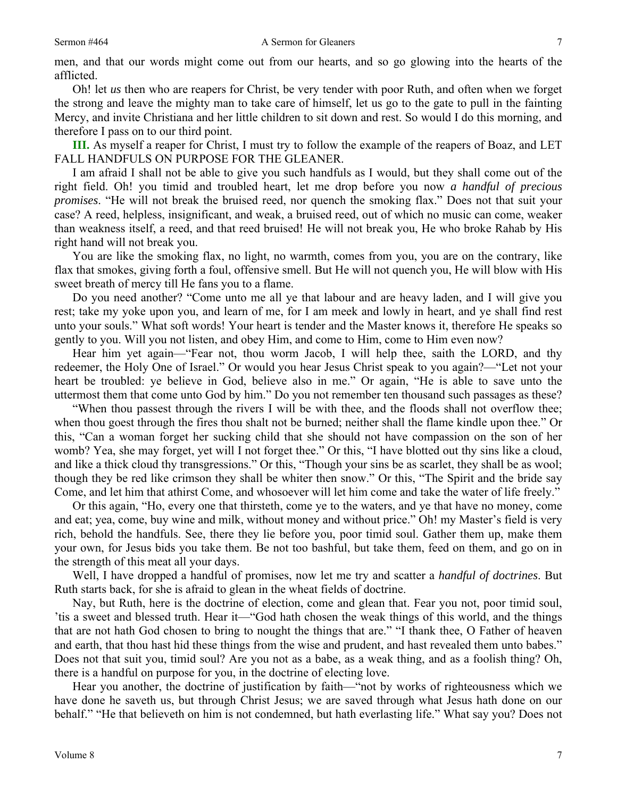men, and that our words might come out from our hearts, and so go glowing into the hearts of the afflicted.

Oh! let *us* then who are reapers for Christ, be very tender with poor Ruth, and often when we forget the strong and leave the mighty man to take care of himself, let us go to the gate to pull in the fainting Mercy, and invite Christiana and her little children to sit down and rest. So would I do this morning, and therefore I pass on to our third point.

**III.** As myself a reaper for Christ, I must try to follow the example of the reapers of Boaz, and LET FALL HANDFULS ON PURPOSE FOR THE GLEANER.

I am afraid I shall not be able to give you such handfuls as I would, but they shall come out of the right field. Oh! you timid and troubled heart, let me drop before you now *a handful of precious promises*. "He will not break the bruised reed, nor quench the smoking flax." Does not that suit your case? A reed, helpless, insignificant, and weak, a bruised reed, out of which no music can come, weaker than weakness itself, a reed, and that reed bruised! He will not break you, He who broke Rahab by His right hand will not break you.

You are like the smoking flax, no light, no warmth, comes from you, you are on the contrary, like flax that smokes, giving forth a foul, offensive smell. But He will not quench you, He will blow with His sweet breath of mercy till He fans you to a flame.

Do you need another? "Come unto me all ye that labour and are heavy laden, and I will give you rest; take my yoke upon you, and learn of me, for I am meek and lowly in heart, and ye shall find rest unto your souls." What soft words! Your heart is tender and the Master knows it, therefore He speaks so gently to you. Will you not listen, and obey Him, and come to Him, come to Him even now?

Hear him yet again—"Fear not, thou worm Jacob, I will help thee, saith the LORD, and thy redeemer, the Holy One of Israel." Or would you hear Jesus Christ speak to you again?—"Let not your heart be troubled: ye believe in God, believe also in me." Or again, "He is able to save unto the uttermost them that come unto God by him." Do you not remember ten thousand such passages as these?

"When thou passest through the rivers I will be with thee, and the floods shall not overflow thee; when thou goest through the fires thou shalt not be burned; neither shall the flame kindle upon thee." Or this, "Can a woman forget her sucking child that she should not have compassion on the son of her womb? Yea, she may forget, yet will I not forget thee." Or this, "I have blotted out thy sins like a cloud, and like a thick cloud thy transgressions." Or this, "Though your sins be as scarlet, they shall be as wool; though they be red like crimson they shall be whiter then snow." Or this, "The Spirit and the bride say Come, and let him that athirst Come, and whosoever will let him come and take the water of life freely."

Or this again, "Ho, every one that thirsteth, come ye to the waters, and ye that have no money, come and eat; yea, come, buy wine and milk, without money and without price." Oh! my Master's field is very rich, behold the handfuls. See, there they lie before you, poor timid soul. Gather them up, make them your own, for Jesus bids you take them. Be not too bashful, but take them, feed on them, and go on in the strength of this meat all your days.

Well, I have dropped a handful of promises, now let me try and scatter a *handful of doctrines*. But Ruth starts back, for she is afraid to glean in the wheat fields of doctrine.

Nay, but Ruth, here is the doctrine of election, come and glean that. Fear you not, poor timid soul, 'tis a sweet and blessed truth. Hear it—"God hath chosen the weak things of this world, and the things that are not hath God chosen to bring to nought the things that are." "I thank thee, O Father of heaven and earth, that thou hast hid these things from the wise and prudent, and hast revealed them unto babes." Does not that suit you, timid soul? Are you not as a babe, as a weak thing, and as a foolish thing? Oh, there is a handful on purpose for you, in the doctrine of electing love.

Hear you another, the doctrine of justification by faith—"not by works of righteousness which we have done he saveth us, but through Christ Jesus; we are saved through what Jesus hath done on our behalf." "He that believeth on him is not condemned, but hath everlasting life." What say you? Does not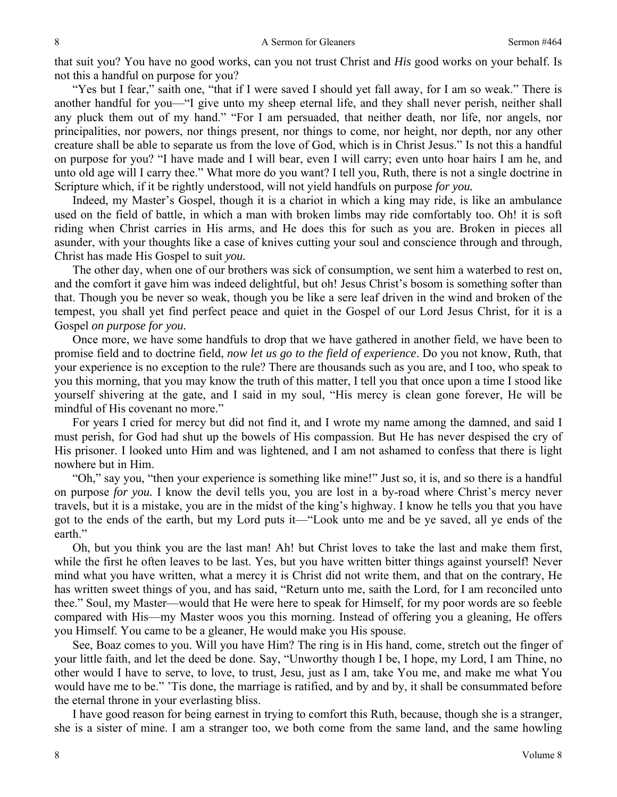that suit you? You have no good works, can you not trust Christ and *His* good works on your behalf. Is not this a handful on purpose for you?

"Yes but I fear," saith one, "that if I were saved I should yet fall away, for I am so weak." There is another handful for you—"I give unto my sheep eternal life, and they shall never perish, neither shall any pluck them out of my hand." "For I am persuaded, that neither death, nor life, nor angels, nor principalities, nor powers, nor things present, nor things to come, nor height, nor depth, nor any other creature shall be able to separate us from the love of God, which is in Christ Jesus." Is not this a handful on purpose for you? "I have made and I will bear, even I will carry; even unto hoar hairs I am he, and unto old age will I carry thee." What more do you want? I tell you, Ruth, there is not a single doctrine in Scripture which, if it be rightly understood, will not yield handfuls on purpose *for you.*

Indeed, my Master's Gospel, though it is a chariot in which a king may ride, is like an ambulance used on the field of battle, in which a man with broken limbs may ride comfortably too. Oh! it is soft riding when Christ carries in His arms, and He does this for such as you are. Broken in pieces all asunder, with your thoughts like a case of knives cutting your soul and conscience through and through, Christ has made His Gospel to suit *you.* 

The other day, when one of our brothers was sick of consumption, we sent him a waterbed to rest on, and the comfort it gave him was indeed delightful, but oh! Jesus Christ's bosom is something softer than that. Though you be never so weak, though you be like a sere leaf driven in the wind and broken of the tempest, you shall yet find perfect peace and quiet in the Gospel of our Lord Jesus Christ, for it is a Gospel *on purpose for you.*

Once more, we have some handfuls to drop that we have gathered in another field, we have been to promise field and to doctrine field, *now let us go to the field of experience*. Do you not know, Ruth, that your experience is no exception to the rule? There are thousands such as you are, and I too, who speak to you this morning, that you may know the truth of this matter, I tell you that once upon a time I stood like yourself shivering at the gate, and I said in my soul, "His mercy is clean gone forever, He will be mindful of His covenant no more."

For years I cried for mercy but did not find it, and I wrote my name among the damned, and said I must perish, for God had shut up the bowels of His compassion. But He has never despised the cry of His prisoner. I looked unto Him and was lightened, and I am not ashamed to confess that there is light nowhere but in Him.

"Oh," say you, "then your experience is something like mine!" Just so, it is, and so there is a handful on purpose *for you.* I know the devil tells you, you are lost in a by-road where Christ's mercy never travels, but it is a mistake, you are in the midst of the king's highway. I know he tells you that you have got to the ends of the earth, but my Lord puts it—"Look unto me and be ye saved, all ye ends of the earth."

Oh, but you think you are the last man! Ah! but Christ loves to take the last and make them first, while the first he often leaves to be last. Yes, but you have written bitter things against yourself! Never mind what you have written, what a mercy it is Christ did not write them, and that on the contrary, He has written sweet things of you, and has said, "Return unto me, saith the Lord, for I am reconciled unto thee." Soul, my Master—would that He were here to speak for Himself, for my poor words are so feeble compared with His—my Master woos you this morning. Instead of offering you a gleaning, He offers you Himself. You came to be a gleaner, He would make you His spouse.

See, Boaz comes to you. Will you have Him? The ring is in His hand, come, stretch out the finger of your little faith, and let the deed be done. Say, "Unworthy though I be, I hope, my Lord, I am Thine, no other would I have to serve, to love, to trust, Jesu, just as I am, take You me, and make me what You would have me to be." 'Tis done, the marriage is ratified, and by and by, it shall be consummated before the eternal throne in your everlasting bliss.

I have good reason for being earnest in trying to comfort this Ruth, because, though she is a stranger, she is a sister of mine. I am a stranger too, we both come from the same land, and the same howling

8

8